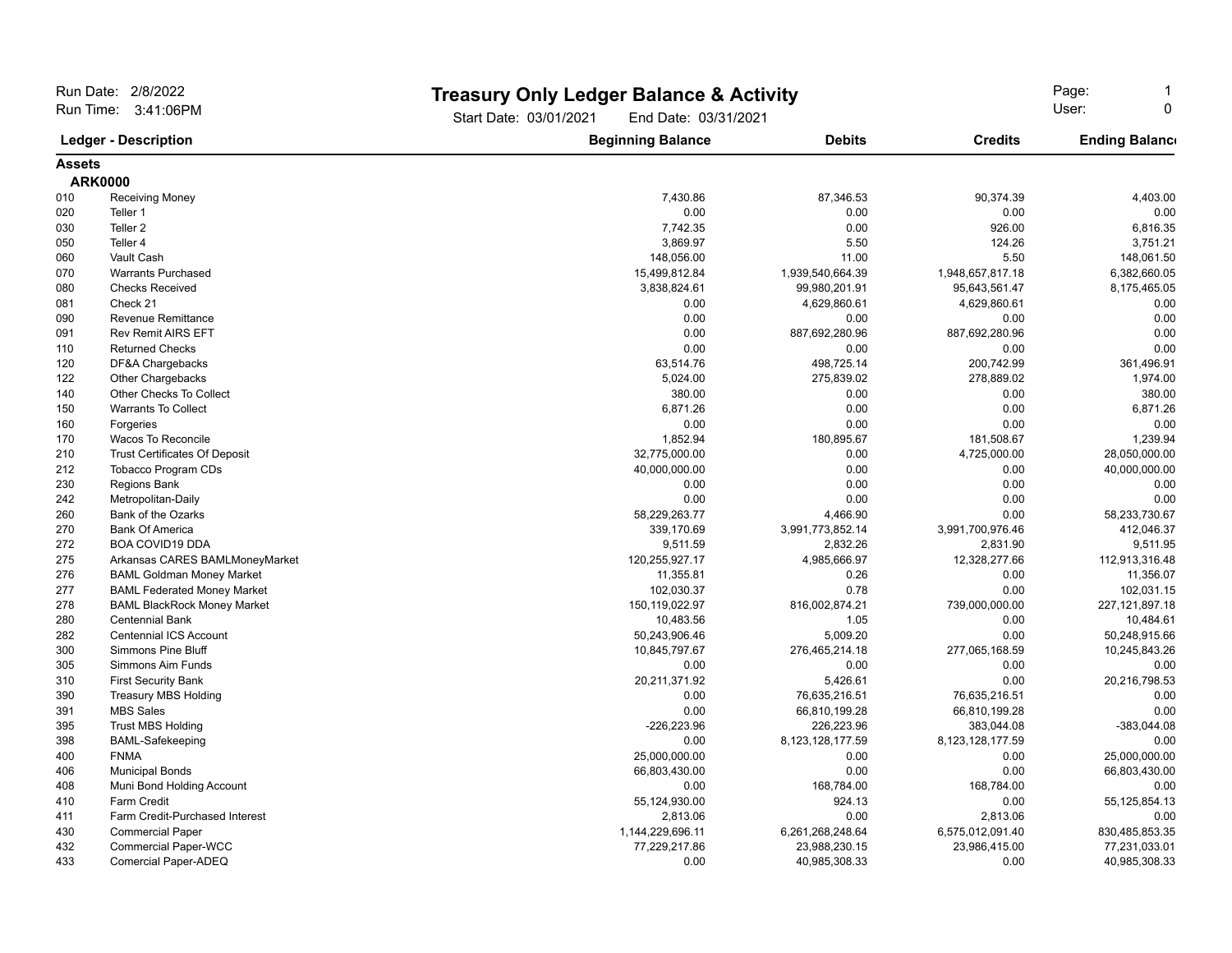| Run Date: 2/8/2022                                 |                                      |                                                | <b>Treasury Only Ledger Balance &amp; Activity</b> |                      | Page:                 |  |
|----------------------------------------------------|--------------------------------------|------------------------------------------------|----------------------------------------------------|----------------------|-----------------------|--|
| Run Time: 3:41:06PM<br><b>Ledger - Description</b> |                                      | Start Date: 03/01/2021<br>End Date: 03/31/2021 |                                                    | User:<br>$\mathbf 0$ |                       |  |
|                                                    |                                      | <b>Beginning Balance</b>                       | <b>Debits</b>                                      | <b>Credits</b>       | <b>Ending Balance</b> |  |
| <b>Assets</b>                                      |                                      |                                                |                                                    |                      |                       |  |
|                                                    | <b>ARK0000</b>                       |                                                |                                                    |                      |                       |  |
| 010                                                | <b>Receiving Money</b>               | 7,430.86                                       | 87,346.53                                          | 90,374.39            | 4,403.00              |  |
| 020                                                | Teller 1                             | 0.00                                           | 0.00                                               | 0.00                 | 0.00                  |  |
| 030                                                | Teller <sub>2</sub>                  | 7,742.35                                       | 0.00                                               | 926.00               | 6,816.35              |  |
| 050                                                | Teller 4                             | 3,869.97                                       | 5.50                                               | 124.26               | 3,751.21              |  |
| 060                                                | Vault Cash                           | 148,056.00                                     | 11.00                                              | 5.50                 | 148,061.50            |  |
| 070                                                | <b>Warrants Purchased</b>            | 15,499,812.84                                  | 1,939,540,664.39                                   | 1,948,657,817.18     | 6,382,660.05          |  |
| 080                                                | <b>Checks Received</b>               | 3,838,824.61                                   | 99,980,201.91                                      | 95,643,561.47        | 8,175,465.05          |  |
| 081                                                | Check 21                             | 0.00                                           | 4,629,860.61                                       | 4,629,860.61         | 0.00                  |  |
| 090                                                | <b>Revenue Remittance</b>            | 0.00                                           | 0.00                                               | 0.00                 | 0.00                  |  |
| 091                                                | <b>Rev Remit AIRS EFT</b>            | 0.00                                           | 887,692,280.96                                     | 887,692,280.96       | 0.00                  |  |
| 110                                                | <b>Returned Checks</b>               | 0.00                                           | 0.00                                               | 0.00                 | 0.00                  |  |
| 120                                                | DF&A Chargebacks                     | 63,514.76                                      | 498,725.14                                         | 200,742.99           | 361,496.91            |  |
| 122                                                | Other Chargebacks                    | 5,024.00                                       | 275,839.02                                         | 278,889.02           | 1,974.00              |  |
| 140                                                | Other Checks To Collect              | 380.00                                         | 0.00                                               | 0.00                 | 380.00                |  |
| 150                                                | <b>Warrants To Collect</b>           | 6,871.26                                       | 0.00                                               | 0.00                 | 6,871.26              |  |
| 160                                                | Forgeries                            | 0.00                                           | 0.00                                               | 0.00                 | 0.00                  |  |
| 170                                                | <b>Wacos To Reconcile</b>            | 1,852.94                                       | 180,895.67                                         | 181,508.67           | 1,239.94              |  |
| 210                                                | <b>Trust Certificates Of Deposit</b> | 32,775,000.00                                  | 0.00                                               | 4,725,000.00         | 28,050,000.00         |  |
| 212                                                | <b>Tobacco Program CDs</b>           | 40,000,000.00                                  | 0.00                                               | 0.00                 | 40,000,000.00         |  |
| 230                                                | <b>Regions Bank</b>                  | 0.00                                           | 0.00                                               | 0.00                 | 0.00                  |  |
| 242                                                | Metropolitan-Daily                   | 0.00                                           | 0.00                                               | 0.00                 | 0.00                  |  |
| 260                                                | Bank of the Ozarks                   | 58,229,263.77                                  | 4,466.90                                           | 0.00                 | 58,233,730.67         |  |
| 270                                                | <b>Bank Of America</b>               | 339,170.69                                     | 3,991,773,852.14                                   | 3,991,700,976.46     | 412,046.37            |  |
| 272                                                | <b>BOA COVID19 DDA</b>               | 9,511.59                                       | 2,832.26                                           | 2,831.90             | 9.511.95              |  |
| 275                                                | Arkansas CARES BAMLMoneyMarket       | 120,255,927.17                                 | 4,985,666.97                                       | 12,328,277.66        | 112,913,316.48        |  |
| 276                                                | <b>BAML Goldman Money Market</b>     | 11,355.81                                      | 0.26                                               | 0.00                 | 11,356.07             |  |
| 277                                                | <b>BAML Federated Money Market</b>   | 102,030.37                                     | 0.78                                               | 0.00                 | 102,031.15            |  |
| 278                                                | <b>BAML BlackRock Money Market</b>   | 150,119,022.97                                 | 816,002,874.21                                     | 739,000,000.00       | 227, 121, 897. 18     |  |
| 280                                                | <b>Centennial Bank</b>               | 10,483.56                                      | 1.05                                               | 0.00                 | 10,484.61             |  |
| 282                                                | <b>Centennial ICS Account</b>        | 50,243,906.46                                  | 5,009.20                                           | 0.00                 | 50,248,915.66         |  |
| 300                                                | <b>Simmons Pine Bluff</b>            | 10,845,797.67                                  | 276,465,214.18                                     | 277,065,168.59       | 10,245,843.26         |  |
| 305                                                | Simmons Aim Funds                    | 0.00                                           | 0.00                                               | 0.00                 | 0.00                  |  |
| 310                                                | <b>First Security Bank</b>           | 20,211,371.92                                  | 5,426.61                                           | 0.00                 | 20,216,798.53         |  |
| 390                                                | <b>Treasury MBS Holding</b>          | 0.00                                           | 76,635,216.51                                      | 76,635,216.51        | 0.00                  |  |
| 391                                                | <b>MBS Sales</b>                     | 0.00                                           | 66,810,199.28                                      | 66,810,199.28        | 0.00                  |  |
| 395                                                | <b>Trust MBS Holding</b>             | $-226,223.96$                                  | 226,223.96                                         | 383,044.08           | -383,044.08           |  |
| 398                                                | <b>BAML-Safekeeping</b>              | 0.00                                           | 8,123,128,177.59                                   | 8,123,128,177.59     | 0.00                  |  |
| 400                                                | <b>FNMA</b>                          | 25,000,000.00                                  | 0.00                                               | 0.00                 | 25,000,000.00         |  |
| 406                                                | <b>Municipal Bonds</b>               | 66,803,430.00                                  | 0.00                                               | 0.00                 | 66,803,430.00         |  |
| 408                                                | Muni Bond Holding Account            | 0.00                                           | 168,784.00                                         | 168,784.00           | 0.00                  |  |
| 410                                                | <b>Farm Credit</b>                   | 55,124,930.00                                  | 924.13                                             | 0.00                 | 55, 125, 854. 13      |  |
| 411                                                | Farm Credit-Purchased Interest       | 2,813.06                                       | 0.00                                               | 2,813.06             | 0.00                  |  |
| 430                                                | <b>Commercial Paper</b>              | 1,144,229,696.11                               | 6,261,268,248.64                                   | 6,575,012,091.40     | 830,485,853.35        |  |
| 432                                                | <b>Commercial Paper-WCC</b>          | 77,229,217.86                                  | 23,988,230.15                                      | 23,986,415.00        | 77,231,033.01         |  |
| 433                                                | Comercial Paper-ADEQ                 | 0.00                                           | 40,985,308.33                                      | 0.00                 | 40,985,308.33         |  |